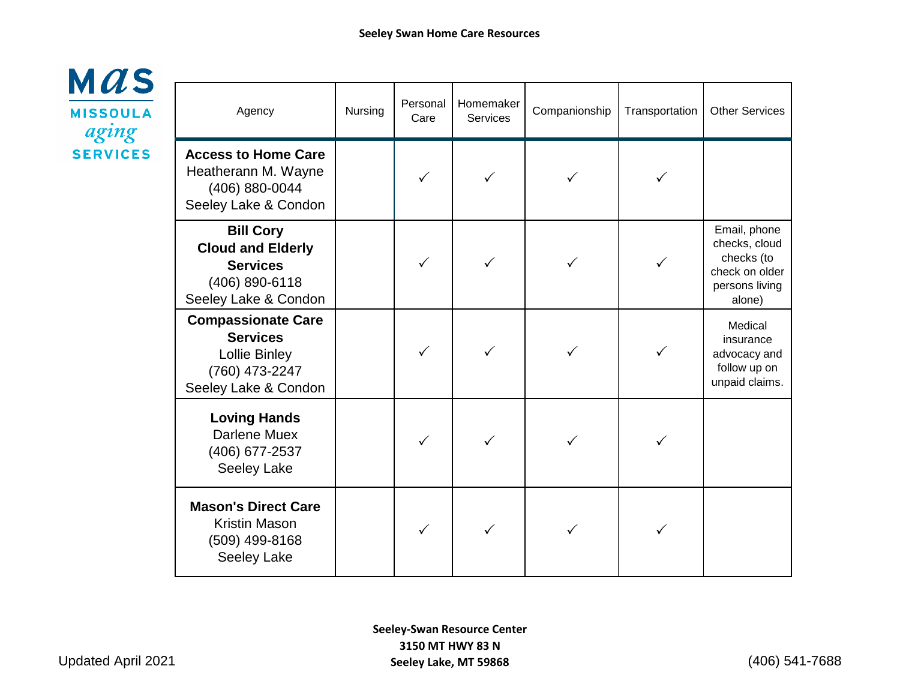

| Agency                                                                                                         | Nursing | Personal<br>Care | Homemaker<br><b>Services</b> | Companionship | Transportation | <b>Other Services</b>                                                                     |
|----------------------------------------------------------------------------------------------------------------|---------|------------------|------------------------------|---------------|----------------|-------------------------------------------------------------------------------------------|
| <b>Access to Home Care</b><br>Heatherann M. Wayne<br>(406) 880-0044<br>Seeley Lake & Condon                    |         |                  |                              |               |                |                                                                                           |
| <b>Bill Cory</b><br><b>Cloud and Elderly</b><br><b>Services</b><br>(406) 890-6118<br>Seeley Lake & Condon      |         |                  |                              |               | ✓              | Email, phone<br>checks, cloud<br>checks (to<br>check on older<br>persons living<br>alone) |
| <b>Compassionate Care</b><br><b>Services</b><br><b>Lollie Binley</b><br>(760) 473-2247<br>Seeley Lake & Condon |         |                  |                              | ✓             | ✓              | Medical<br>insurance<br>advocacy and<br>follow up on<br>unpaid claims.                    |
| <b>Loving Hands</b><br>Darlene Muex<br>(406) 677-2537<br>Seeley Lake                                           |         |                  |                              |               |                |                                                                                           |
| <b>Mason's Direct Care</b><br><b>Kristin Mason</b><br>(509) 499-8168<br>Seeley Lake                            |         | $\checkmark$     | ✓                            |               |                |                                                                                           |